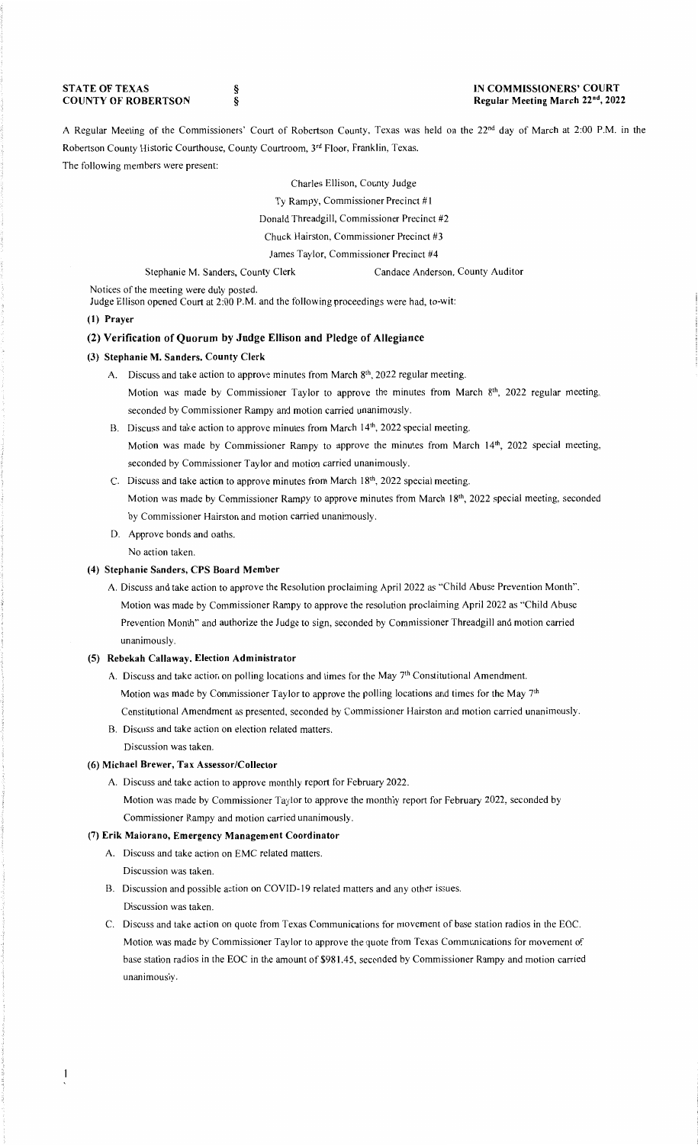**STATE OF TEXAS COUNTY OF ROBERTSON**  § §

### **IN COMMISSIONERS' COURT Regular Meeting March 22nd, 2022**

A Regular Meeting of the Commissioners' Court of Robertson County, Texas was held on the 22<sup>nd</sup> day of March at 2:00 P.M. in the Robertson County Historic Courthouse, County Courtroom, 3rd Floor, Franklin, Texas. The following members were present:

Charles Ellison, County Judge

Ty Rampy, Commissioner Precinct #I

Donald Threadgill, Commissioner Precinct #2

Chuck Hairston, Commissioner Precinct #3

James Taylor, Commissioner Precinct #4

Stephanie M. Sanders, County Clerk Candace Anderson, County Auditor

Notices of the meeting were duly posted.

Judge Ellison opened Court at 2:00 **P.M.** and the following proceedings were had, to-wit:

### **(I) Prayer**

# **(2) Verification of Quorum by Judge Ellison and Pledge of Allegiance**

### **(3) Stephanie M. Sanders, County Clerk**

- A. Discuss and take action to approve minutes from March  $8<sup>th</sup>$ , 2022 regular meeting. Motion was made by Commissioner Taylor to approve the minutes from March 8<sup>th</sup>, 2022 regular meeting, seconded by Commissioner Rampy and motion carried unanimously.
- B. Discuss and take action to approve minutes from March 14<sup>th</sup>, 2022 special meeting. Motion was made by Commissioner Rampy to approve the minutes from March 14<sup>th</sup>, 2022 special meeting, seconded by Commissioner Taylor and motion carried unanimously.
- C. Discuss and take action to approve minutes from March 18<sup>th</sup>, 2022 special meeting. Motion was made by Commissioner Rampy to approve minutes from March I **8th,** 2022 special meeting, seconded by Commissioner Hairston and motion carried unanimously.
- D. Approve bonds and oaths.

No action taken.

# **(4) Stephanie Sanders, CPS Board Member**

A. Discuss and take action to approve the Resolution proclaiming April 2022 as ''Child Abuse Prevention Month''. Motion was made by Commissioner Rampy to approve the resolution proclaiming April 2022 as "Child Abuse Prevention Month" and authorize the Judge to sign, seconded by Commissioner Threadgill and motion carried unanimously.

## **(5) Rebekah Callaway, Election Administrator**

- A. Discuss and take action on polling locations and times for the May 7<sup>th</sup> Constitutional Amendment. Motion was made by Commissioner Taylor to approve the polling locations and times for the May 7th Constitutional Amendment as presented, seconded by Commissioner Hairston and motion carried unanimously.
- B. Discuss and take action on election related matters. Discussion was taken.

### **(6) Michael Brewer, Tax Assessor/Collector**

A. Discuss and take action to approve monthly report for February 2022.

Motion was made by Commissioner Taylor to approve the monthly report for February 2022, seconded by Commissioner Rampy and motion carried unanimously.

#### **(7) Erik Maiorano, Emergency Management Coordinator**

- A. Discuss and take action on EMC related matters.
- Discussion was taken.
- B. Discussion and possible action on COVID-19 related matters and any other issues. Discussion was taken.
- C. Discuss and take action on quote from Texas Communications for movement of base station radios in the EOC. Motion was made by Commissioner Taylor to approve the quote from Texas Communications for movement of base station radios in the EOC in the amount of \$981.45, seconded by Commissioner Rampy and motion carried unanimously.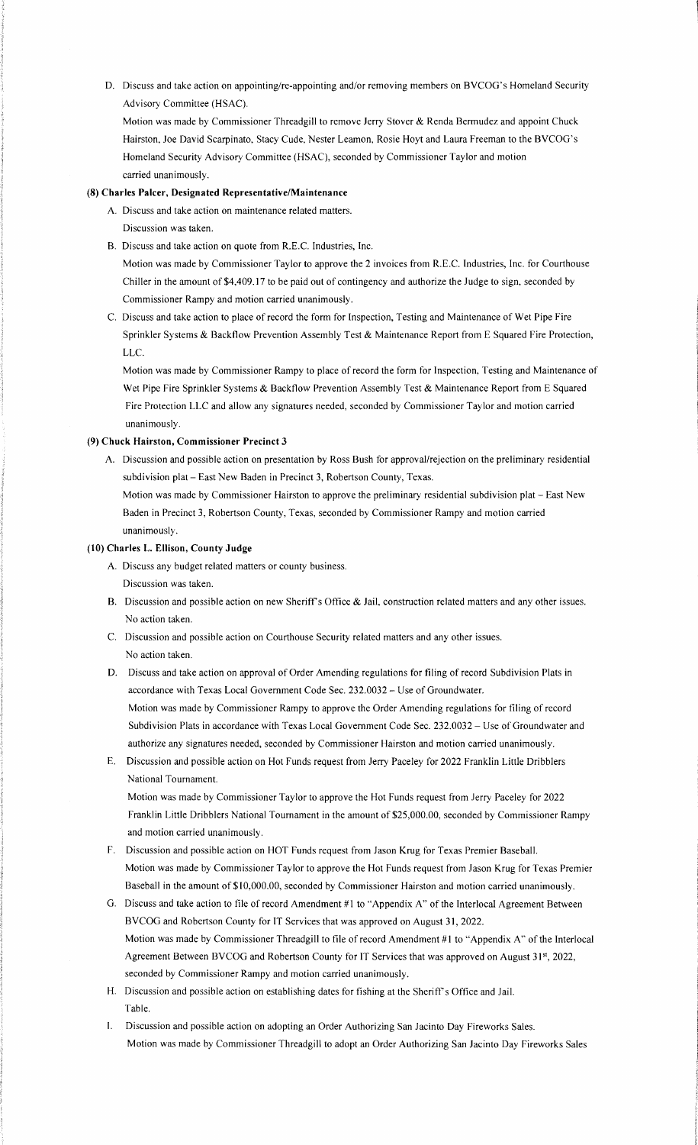D. Discuss and take action on appointing/re-appointing and/or removing members on BVCOG's Homeland Security Advisory Committee (HSAC).

Motion was made by Commissioner Threadgill to remove Jerry Stover & Renda Bermudez and appoint Chuck Hairston, Joe David Scarpinato, Stacy Cude, Nester Leamon, Rosie Hoyt and Laura Freeman to the BVCOG's Homeland Security Advisory Committee (HSAC), seconded by Commissioner Taylor and motion carried unanimously.

# **(8) Charles Palcer, Designated Representative/Maintenance**

A. Discuss and take action on maintenance related matters. Discussion was taken.

B. Discuss and take action on quote from R.E.C. Industries, Inc.

Motion was made by Commissioner Taylor to approve the 2 invoices from R.E.C. Industries, Inc. for Courthouse Chiller in the amount of \$4,409.17 to be paid out of contingency and authorize the Judge to sign, seconded by Commissioner Rampy and motion carried unanimously.

C. Discuss and take action to place of record the form for Inspection, Testing and Maintenance of Wet Pipe Fire Sprinkler Systems & Backflow Prevention Assembly Test & Maintenance Report from E Squared Fire Protection, LLC.

Motion was made by Commissioner Rampy to place of record the form for Inspection, Testing and Maintenance of Wet Pipe Fire Sprinkler Systems & Backflow Prevention Assembly Test & Maintenance Report from E Squared Fire Protection LLC and allow any signatures needed, seconded by Commissioner Taylor and motion carried unanimously.

## **(9) Chuck Hairston, Commissioner Precinct 3**

A. Discussion and possible action on presentation by Ross Bush for approval/rejection on the preliminary residential subdivision plat - East New Baden in Precinct 3, Robertson County, Texas.

Motion was made by Commissioner Hairston to approve the preliminary residential subdivision plat - East New Baden in Precinct 3, Robertson County, Texas, seconded by Commissioner Rampy and motion carried unanimously.

# **(10) Charles L. Ellison, County Judge**

- A. Discuss any budget related matters or county business. Discussion was taken.
- B. Discussion and possible action on new Sheriff's Office & Jail, construction related matters and any other issues. No action taken.
- C. Discussion and possible action on Courthouse Security related matters and any other issues. No action taken.
- D. Discuss and take action on approval of Order Amending regulations for filing of record Subdivision Plats in accordance with Texas Local Government Code Sec. 232.0032 - Use of Groundwater. Motion was made by Commissioner Rampy to approve the Order Amending regulations for filing of record Subdivision Plats in accordance with Texas Local Government Code Sec. 232.0032 - Use of Groundwater and authorize any signatures needed, seconded by Commissioner Hairston and motion carried unanimously.
- E. Discussion and possible action on Hot Funds request from Jerry Paceley for 2022 Franklin Little Dribblers National Tournament.

Motion was made by Commissioner Taylor to approve the Hot Funds request from Jerry Paceley for 2022 Franklin Little Dribblers National Tournament in the amount of \$25,000.00, seconded by Commissioner Rampy and motion carried unanimously.

- F. Discussion and possible action on HOT Funds request from Jason Krug for Texas Premier Baseball. Motion was made by Commissioner Taylor to approve the Hot Funds request from Jason Krug for Texas Premier Baseball in the amount of \$10,000.00, seconded by Commissioner Hairston and motion carried unanimously.
- G. Discuss and take action to file of record Amendment #I to ''Appendix A" of the Interlocal Agreement Between BVCOG and Robertson County for IT Services that was approved on August 31, 2022. Motion was made by Commissioner Threadgill to file of record Amendment #1 to "Appendix A" of the Interlocal Agreement Between BVCOG and Robertson County for IT Services that was approved on August 31st, 2022, seconded by Commissioner Rampy and motion carried unanimously.
- H. Discussion and possible action on establishing dates for fishing at the Sheriff's Office and Jail. Table.
- I. Discussion and possible action on adopting an Order Authorizing San Jacinto Day Fireworks Sales. Motion was made by Commissioner Threadgill to adopt an Order Authorizing San Jacinto Day Fireworks Sales